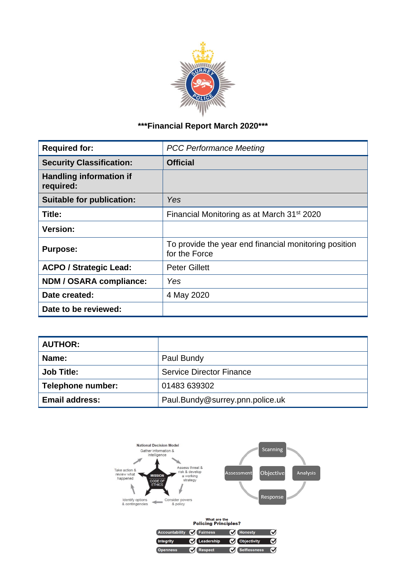

# **\*\*\*Financial Report March 2020\*\*\***

| <b>Required for:</b>                        | <b>PCC Performance Meeting</b>                                         |
|---------------------------------------------|------------------------------------------------------------------------|
| <b>Security Classification:</b>             | <b>Official</b>                                                        |
| <b>Handling information if</b><br>required: |                                                                        |
| <b>Suitable for publication:</b>            | Yes                                                                    |
| Title:                                      | Financial Monitoring as at March 31 <sup>st</sup> 2020                 |
| <b>Version:</b>                             |                                                                        |
| <b>Purpose:</b>                             | To provide the year end financial monitoring position<br>for the Force |
| <b>ACPO / Strategic Lead:</b>               | <b>Peter Gillett</b>                                                   |
| <b>NDM / OSARA compliance:</b>              | Yes                                                                    |
| Date created:                               | 4 May 2020                                                             |
| Date to be reviewed:                        |                                                                        |

| <b>AUTHOR:</b>        |                                 |
|-----------------------|---------------------------------|
| Name:                 | Paul Bundy                      |
| <b>Job Title:</b>     | <b>Service Director Finance</b> |
| Telephone number:     | 01483 639302                    |
| <b>Email address:</b> | Paul.Bundy@surrey.pnn.police.uk |



| What are the<br><b>Policing Principles?</b> |                     |                     |   |  |  |  |  |  |  |  |  |
|---------------------------------------------|---------------------|---------------------|---|--|--|--|--|--|--|--|--|
| Accountability                              | <b>M</b> Fairness   | <b>V</b> Honesty    | ✔ |  |  |  |  |  |  |  |  |
| Integrity                                   | <b>M</b> Leadership | <b>Objectivity</b>  | ✔ |  |  |  |  |  |  |  |  |
| <b>Openness</b>                             | <b>Respect</b>      | <b>Selflessness</b> | ज |  |  |  |  |  |  |  |  |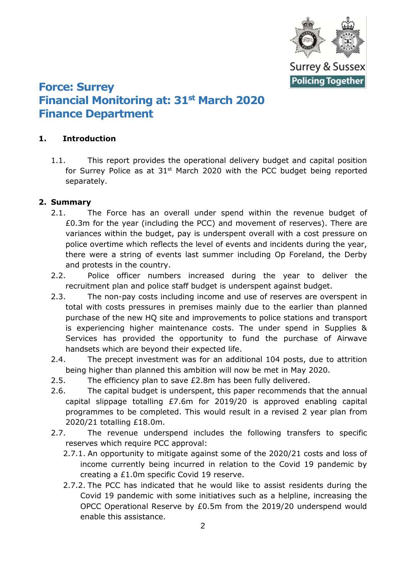

# **Force: Surrey Financial Monitoring at: 31st March 2020 Finance Department**

## **1. Introduction**

1.1. This report provides the operational delivery budget and capital position for Surrey Police as at  $31<sup>st</sup>$  March 2020 with the PCC budget being reported separately.

## **2. Summary**

- 2.1. The Force has an overall under spend within the revenue budget of £0.3m for the year (including the PCC) and movement of reserves). There are variances within the budget, pay is underspent overall with a cost pressure on police overtime which reflects the level of events and incidents during the year, there were a string of events last summer including Op Foreland, the Derby and protests in the country.
- 2.2. Police officer numbers increased during the year to deliver the recruitment plan and police staff budget is underspent against budget.
- 2.3. The non-pay costs including income and use of reserves are overspent in total with costs pressures in premises mainly due to the earlier than planned purchase of the new HQ site and improvements to police stations and transport is experiencing higher maintenance costs. The under spend in Supplies & Services has provided the opportunity to fund the purchase of Airwave handsets which are beyond their expected life.
- 2.4. The precept investment was for an additional 104 posts, due to attrition being higher than planned this ambition will now be met in May 2020.
- 2.5. The efficiency plan to save £2.8m has been fully delivered.
- 2.6. The capital budget is underspent, this paper recommends that the annual capital slippage totalling £7.6m for 2019/20 is approved enabling capital programmes to be completed. This would result in a revised 2 year plan from 2020/21 totalling £18.0m.
- 2.7. The revenue underspend includes the following transfers to specific reserves which require PCC approval:
	- 2.7.1. An opportunity to mitigate against some of the 2020/21 costs and loss of income currently being incurred in relation to the Covid 19 pandemic by creating a £1.0m specific Covid 19 reserve.
	- 2.7.2. The PCC has indicated that he would like to assist residents during the Covid 19 pandemic with some initiatives such as a helpline, increasing the OPCC Operational Reserve by £0.5m from the 2019/20 underspend would enable this assistance.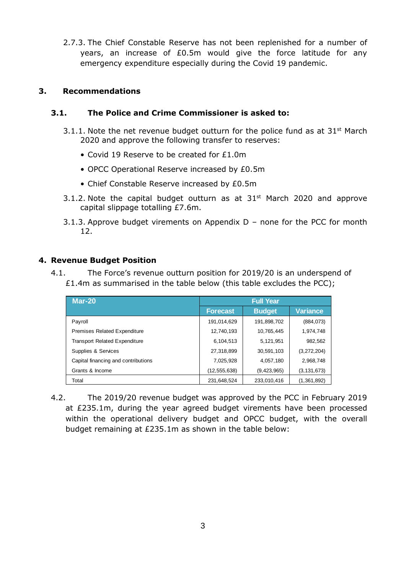2.7.3. The Chief Constable Reserve has not been replenished for a number of years, an increase of £0.5m would give the force latitude for any emergency expenditure especially during the Covid 19 pandemic.

### **3. Recommendations**

## **3.1. The Police and Crime Commissioner is asked to:**

- 3.1.1. Note the net revenue budget outturn for the police fund as at  $31<sup>st</sup>$  March 2020 and approve the following transfer to reserves:
	- Covid 19 Reserve to be created for £1.0m
	- OPCC Operational Reserve increased by £0.5m
	- Chief Constable Reserve increased by £0.5m
- 3.1.2. Note the capital budget outturn as at  $31<sup>st</sup>$  March 2020 and approve capital slippage totalling £7.6m.
- 3.1.3. Approve budget virements on Appendix D none for the PCC for month 12.

#### **4. Revenue Budget Position**

4.1. The Force's revenue outturn position for 2019/20 is an underspend of £1.4m as summarised in the table below (this table excludes the PCC);

| <b>Mar-20</b>                        | <b>Full Year</b> |               |                 |  |  |  |
|--------------------------------------|------------------|---------------|-----------------|--|--|--|
|                                      | <b>Forecast</b>  | <b>Budget</b> | <b>Variance</b> |  |  |  |
| Payroll                              | 191,014,629      | 191,898,702   | (884,073)       |  |  |  |
| <b>Premises Related Expenditure</b>  | 12,740,193       | 10,765,445    | 1,974,748       |  |  |  |
| <b>Transport Related Expenditure</b> | 6,104,513        | 5,121,951     | 982,562         |  |  |  |
| Supplies & Services                  | 27,318,899       | 30,591,103    | (3,272,204)     |  |  |  |
| Capital financing and contributions  | 7,025,928        | 4,057,180     | 2,968,748       |  |  |  |
| Grants & Income                      | (12, 555, 638)   | (9,423,965)   | (3, 131, 673)   |  |  |  |
| Total                                | 231,648,524      | 233,010,416   | (1,361,892)     |  |  |  |

4.2. The 2019/20 revenue budget was approved by the PCC in February 2019 at £235.1m, during the year agreed budget virements have been processed within the operational delivery budget and OPCC budget, with the overall budget remaining at £235.1m as shown in the table below: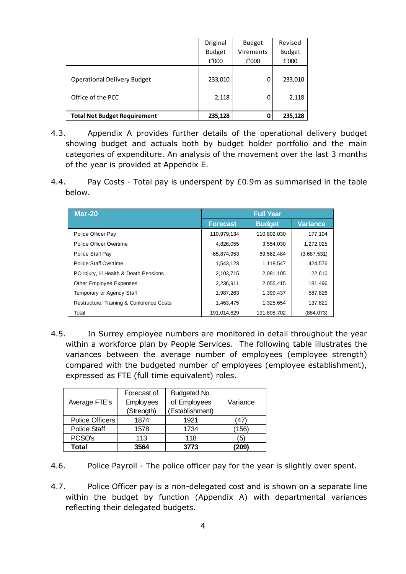|                                                         | Original         | <b>Budget</b> | Revised          |
|---------------------------------------------------------|------------------|---------------|------------------|
|                                                         | <b>Budget</b>    | Virements     | <b>Budget</b>    |
|                                                         | £'000            | £'000         | £'000            |
| <b>Operational Delivery Budget</b><br>Office of the PCC | 233,010<br>2,118 | 0<br>0        | 233,010<br>2,118 |
| <b>Total Net Budget Requirement</b>                     | 235,128          | 0             | 235,128          |

- 4.3. Appendix A provides further details of the operational delivery budget showing budget and actuals both by budget holder portfolio and the main categories of expenditure. An analysis of the movement over the last 3 months of the year is provided at Appendix E.
- 4.4. Pay Costs Total pay is underspent by £0.9m as summarised in the table below.

| <b>Mar-20</b>                            | <b>Full Year</b> |               |             |  |  |  |
|------------------------------------------|------------------|---------------|-------------|--|--|--|
|                                          | <b>Forecast</b>  | <b>Budget</b> | Variance    |  |  |  |
| Police Officer Pay                       | 110,979,134      | 110,802,030   | 177,104     |  |  |  |
| Police Officer Overtime                  | 4,826,055        | 3,554,030     | 1,272,025   |  |  |  |
| Police Staff Pay                         | 65,874,953       | 69,562,484    | (3,687,531) |  |  |  |
| Police Staff Overtime                    | 1,543,123        | 1,118,547     | 424,576     |  |  |  |
| PO Injury, III Health & Death Pensions   | 2,103,715        | 2,081,105     | 22,610      |  |  |  |
| <b>Other Employee Expenses</b>           | 2,236,911        | 2,055,415     | 181,496     |  |  |  |
| Temporary or Agency Staff                | 1,987,263        | 1,399,437     | 587,826     |  |  |  |
| Restructure, Training & Conference Costs | 1,463,475        | 1,325,654     | 137,821     |  |  |  |
| Total                                    | 191,014,629      | 191,898,702   | (884,073)   |  |  |  |

4.5. In Surrey employee numbers are monitored in detail throughout the year within a workforce plan by People Services. The following table illustrates the variances between the average number of employees (employee strength) compared with the budgeted number of employees (employee establishment), expressed as FTE (full time equivalent) roles.

|                     | Forecast of | Budgeted No.    |          |
|---------------------|-------------|-----------------|----------|
| Average FTE's       | Employees   | of Employees    | Variance |
|                     | (Strength)  | (Establishment) |          |
| Police Officers     | 1874        | 1921            | '47)     |
| <b>Police Staff</b> | 1578        | 1734            | (156)    |
| PCSO's              | 113         | 118             | '5)      |
| Total               | 3564        | 3773            | 209)     |

4.6. Police Payroll - The police officer pay for the year is slightly over spent.

4.7. Police Officer pay is a non-delegated cost and is shown on a separate line within the budget by function (Appendix A) with departmental variances reflecting their delegated budgets.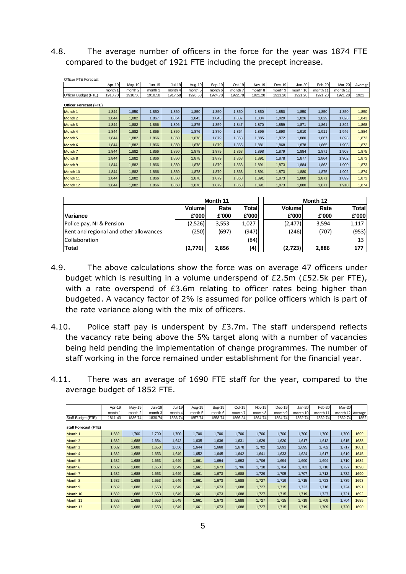4.8. The average number of officers in the force for the year was 1874 FTE compared to the budget of 1921 FTE including the precept increase.

| <b>Officer FTE Forecast</b> |         |         |          |         |         |         |         |               |          |          |          |          |         |
|-----------------------------|---------|---------|----------|---------|---------|---------|---------|---------------|----------|----------|----------|----------|---------|
|                             | Apr-19  | May-19  | $Jun-19$ | Jul-19  | Aug-19  | Sep-19  | Oct-19  | <b>Nov-19</b> | $Dec-19$ | Jan-20   | Feb-20   | Mar-20   | Average |
|                             | month 1 | month 2 | month 3  | month 4 | month 5 | month 6 | month 7 | month 8       | month 9  | month 10 | month 11 | month 12 |         |
| Officer Budget (FTE)        | 1918.70 | 1918.58 | 1918.58  | 1917.58 | 1926.58 | 1924.78 | 1922.78 | 1921.28       | 1921.28  | 1921.28  | 1921.28  | 1921.28  | 1921    |
| Officer Forecast (FTE)      |         |         |          |         |         |         |         |               |          |          |          |          |         |
| Month 1                     | 1,844   | 1,850   | 1.850    | 1,850   | 1,850   | 1,850   | 1,850   | 1,850         | 1,850    | 1,850    | 1,850    | 1,850    | 1,850   |
| Month <sub>2</sub>          | 1,844   | 1,882   | 1,867    | 1,854   | 1,843   | 1,843   | 1,837   | 1,834         | 1,829    | 1,826    | 1,829    | 1,828    | 1,843   |
| Month <sub>3</sub>          | 1,844   | 1,882   | 1,866    | 1,896   | 1,875   | 1,859   | 1,847   | 1,870         | 1,859    | 1,871    | 1,861    | 1,892    | 1,868   |
| Month 4                     | 1,844   | 1,882   | 1,866    | 1,850   | 1,876   | 1,870   | 1,864   | 1,896         | 1,890    | 1,910    | 1,911    | 1,946    | 1,884   |
| Month <sub>5</sub>          | 1,844   | 1,882   | 1,866    | 1,850   | 1,878   | 1,879   | 1,863   | 1,885         | 1,872    | 1,880    | 1,867    | 1,898    | 1,872   |
| Month 6                     | 1,844   | 1,882   | 1.866    | 1.850   | 1,878   | 1.879   | 1,865   | 1,881         | 1,868    | 1.878    | 1,865    | 1,903    | 1,872   |
| Month <sub>7</sub>          | 1,844   | 1,882   | 1,866    | 1,850   | 1,878   | 1,879   | 1,863   | 1,898         | 1,879    | 1,884    | 1,871    | 1,908    | 1,875   |
| Month 8                     | 1,844   | 1,882   | 1,866    | 1,850   | 1,878   | 1,879   | 1,863   | 1,891         | 1,878    | 1,877    | 1,864    | 1,902    | 1,873   |
| Month 9                     | 1,844   | 1,882   | 1.866    | 1,850   | 1.878   | 1,879   | 1,863   | 1,891         | 1,873    | 1,884    | 1,863    | 1,900    | 1,873   |
| Month 10                    | 1,844   | 1,882   | 1,866    | 1,850   | 1,878   | 1,879   | 1,863   | 1,891         | 1,873    | 1,880    | 1,875    | 1,902    | 1,874   |
| Month 11                    | 1,844   | 1,882   | 1.866    | 1,850   | 1,878   | 1,879   | 1,863   | 1,891         | 1,873    | 1,880    | 1,871    | 1,899    | 1,873   |
| Month 12                    | 1,844   | 1,882   | 1,866    | 1,850   | 1,878   | 1,879   | 1,863   | 1,891         | 1,873    | 1,880    | 1,871    | 1,910    | 1,874   |

|                                        |         | Month 11 |        | Month 12      |       |                 |  |
|----------------------------------------|---------|----------|--------|---------------|-------|-----------------|--|
|                                        | Volume  | Rate     | Totall | <b>Volume</b> | Rate  | Total           |  |
| Variance                               | £'000   | £'000    | £'000  | £'000         | £'000 | £'000           |  |
| Police pay, NI & Pension               | (2,526) | 3,553    | 1.027  | (2, 477)      | 3,594 | 1,117           |  |
| Rent and regional and other allowances | (250)   | (697)    | (947)  | (246)         | (707) | (953)           |  |
| <b>Collaboration</b>                   |         |          | (84)   |               |       | 13 <sup>1</sup> |  |
| <b>Total</b>                           | (2,776) | 2,856    | (4)    | (2,723)       | 2,886 | 177             |  |

- 4.9. The above calculations show the force was on average 47 officers under budget which is resulting in a volume underspend of £2.5m (£52.5k per FTE), with a rate overspend of £3.6m relating to officer rates being higher than budgeted. A vacancy factor of 2% is assumed for police officers which is part of the rate variance along with the mix of officers.
- 4.10. Police staff pay is underspent by £3.7m. The staff underspend reflects the vacancy rate being above the 5% target along with a number of vacancies being held pending the implementation of change programmes. The number of staff working in the force remained under establishment for the financial year.
- 4.11. There was an average of 1690 FTE staff for the year, compared to the average budget of 1852 FTE.

|                      | Apr-19  | May-19  | Jun-19  | Jul-19  | Aug-19  | Sep-19  | $Oct-19$ | Nov-19  | $Dec-19$ | Jan-20   | Feb-20   | <b>Mar-20</b>    |      |  |
|----------------------|---------|---------|---------|---------|---------|---------|----------|---------|----------|----------|----------|------------------|------|--|
|                      | month 1 | month 2 | month 3 | month 4 | month 5 | month 6 | month 7  | month 8 | month 9  | month 10 | month 11 | month 12 Average |      |  |
| Staff Budget (FTE)   | 1811.43 | 1836.74 | 1836.74 | 1836.74 | 1857.74 | 1858.74 | 1866.24  | 1864.74 | 1864.74  | 1862.74  | 1862.74  | 1862.74          | 1852 |  |
| staff Forecast (FTE) |         |         |         |         |         |         |          |         |          |          |          |                  |      |  |
| Month 1              | 1,682   | 1.700   | 1.700   | 1.700   | 1.700   | 1.700   | 1,700    | 1.700   | 1.700    | 1.700    | 1.700    | 1.700            | 1699 |  |
| Month 2              | 1,682   | 1,688   | 1,654   | 1,642   | 1,635   | 1,636   | 1,631    | 1,629   | 1,620    | 1,617    | 1,612    | 1,615            | 1638 |  |
| Month <sub>3</sub>   | 1,682   | 1,688   | 1,653   | 1,656   | 1,644   | 1,668   | 1,678    | 1,702   | 1,691    | 1,695    | 1,702    | 1,717            | 1681 |  |
| Month 4              | 1,682   | 1,688   | 1,653   | 1,649   | 1,652   | 1,645   | 1,642    | 1,641   | 1,633    | 1,624    | 1,617    | 1,619            | 1645 |  |
| Month <sub>5</sub>   | 1,682   | 1,688   | 1,653   | 1,649   | 1,661   | 1,694   | 1,693    | 1,706   | 1,694    | 1,690    | 1,694    | 1,710            | 1684 |  |
| Month 6              | 1,682   | 1,688   | 1,653   | 1,649   | 1,661   | 1,673   | 1.706    | 1,718   | 1,704    | 1,703    | 1.710    | 1.727            | 1690 |  |
| Month <sub>7</sub>   | 1,682   | 1,688   | 1,653   | 1,649   | 1,661   | 1,673   | 1,688    | 1,729   | 1,705    | 1,707    | 1,713    | 1,732            | 1690 |  |
| Month 8              | 1,682   | 1,688   | 1.653   | 1,649   | 1.661   | 1,673   | 1.688    | 1.727   | 1,719    | 1.715    | 1,723    | 1.739            | 1693 |  |
| Month 9              | 1,682   | 1,688   | 1,653   | 1,649   | 1,661   | 1,673   | 1,688    | 1,727   | 1,715    | 1,722    | 1,716    | 1,724            | 1691 |  |
| Month 10             | 1,682   | 1,688   | 1,653   | 1,649   | 1,661   | 1,673   | 1,688    | 1,727   | 1,715    | 1,719    | 1,727    | 1,721            | 1692 |  |
| Month 11             | 1,682   | 1,688   | 1,653   | 1,649   | 1,661   | 1,673   | 1,688    | 1,727   | 1,715    | 1,719    | 1,709    | 1,704            | 1689 |  |
| Month 12             | 1,682   | 1,688   | 1,653   | 1,649   | 1,661   | 1,673   | 1,688    | 1,727   | 1,715    | 1,719    | 1,709    | 1,720            | 1690 |  |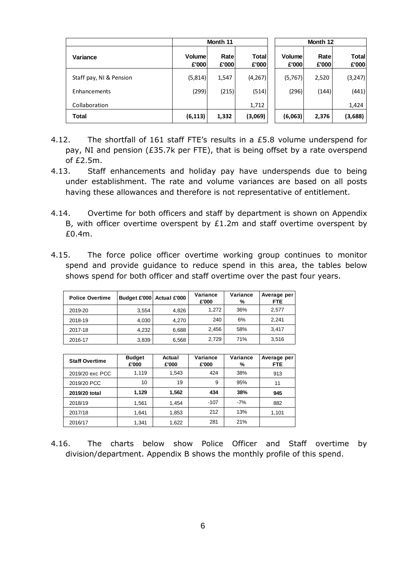|                         |                        | Month 11       |                |                        | Month 12       |                |
|-------------------------|------------------------|----------------|----------------|------------------------|----------------|----------------|
| Variance                | <b>Volume</b><br>£'000 | Ratel<br>£'000 | Total<br>£'000 | <b>Volume</b><br>£'000 | Ratel<br>£'000 | Total<br>£'000 |
| Staff pay, NI & Pension | (5,814)                | 1,547          | (4,267)        | (5,767)                | 2,520          | (3,247)        |
| Enhancements            | (299)                  | (215)          | (514)          | (296)                  | (144)          | (441)          |
| Collaboration           |                        |                | 1,712          |                        |                | 1,424          |
| <b>Total</b>            | (6, 113)               | 1,332          | (3,069)        | (6,063)                | 2,376          | (3,688)        |

- 4.12. The shortfall of 161 staff FTE's results in a £5.8 volume underspend for pay, NI and pension (£35.7k per FTE), that is being offset by a rate overspend of £2.5m.
- 4.13. Staff enhancements and holiday pay have underspends due to being under establishment. The rate and volume variances are based on all posts having these allowances and therefore is not representative of entitlement.
- 4.14. Overtime for both officers and staff by department is shown on Appendix B, with officer overtime overspent by £1.2m and staff overtime overspent by £0.4m.
- 4.15. The force police officer overtime working group continues to monitor spend and provide guidance to reduce spend in this area, the tables below shows spend for both officer and staff overtime over the past four years.

| <b>Police Overtime</b> | Budget £'000 Actual £'000 |       | Variance<br>£'000 | Variance<br>% | Average per<br><b>FTE</b> |
|------------------------|---------------------------|-------|-------------------|---------------|---------------------------|
| 2019-20                | 3,554                     | 4.826 | 1.272             | 36%           | 2,577                     |
| 2018-19                | 4,030                     | 4.270 | 240               | 6%            | 2,241                     |
| 2017-18                | 4,232                     | 6,688 | 2.456             | 58%           | 3,417                     |
| 2016-17                | 3,839                     | 6,568 | 2.729             | 71%           | 3,516                     |

| <b>Staff Overtime</b> | <b>Budget</b><br>£'000 | Actual<br>£'000 | Variance<br>£'000 | Variance<br>% | Average per<br><b>FTE</b> |
|-----------------------|------------------------|-----------------|-------------------|---------------|---------------------------|
| 2019/20 exc PCC       | 1.119                  | 1.543           | 424               | 38%           | 913                       |
| 2019/20 PCC           | 19<br>10               |                 | 9                 | 95%           | 11                        |
| 2019/20 total         | 1.129                  | 1.562           | 434               | 38%           | 945                       |
| 2018/19               | 1,561                  | 1,454           | $-107$            | $-7%$         | 882                       |
| 2017/18               | 1,641                  | 1,853           | 212               | 13%           | 1,101                     |
| 2016/17               | 1.341                  | 1.622           | 281               | 21%           |                           |

4.16. The charts below show Police Officer and Staff overtime by division/department. Appendix B shows the monthly profile of this spend.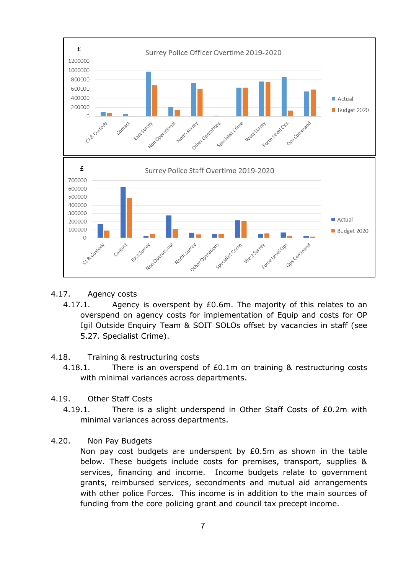

- 4.17. Agency costs
	- 4.17.1. Agency is overspent by £0.6m. The majority of this relates to an overspend on agency costs for implementation of Equip and costs for OP Igil Outside Enquiry Team & SOIT SOLOs offset by vacancies in staff (see 5.27. Specialist Crime).
- 4.18. Training & restructuring costs
	- 4.18.1. There is an overspend of £0.1m on training & restructuring costs with minimal variances across departments.
- 4.19. Other Staff Costs
	- 4.19.1. There is a slight underspend in Other Staff Costs of £0.2m with minimal variances across departments.
- 4.20. Non Pay Budgets

Non pay cost budgets are underspent by £0.5m as shown in the table below. These budgets include costs for premises, transport, supplies & services, financing and income. Income budgets relate to government grants, reimbursed services, secondments and mutual aid arrangements with other police Forces. This income is in addition to the main sources of funding from the core policing grant and council tax precept income.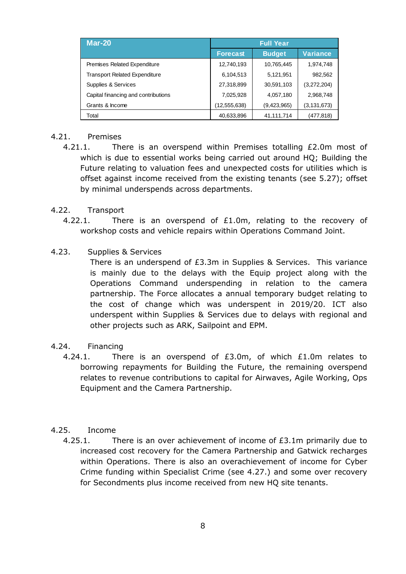| <b>Mar-20</b>                        | <b>Full Year</b> |               |                 |  |  |  |  |  |
|--------------------------------------|------------------|---------------|-----------------|--|--|--|--|--|
|                                      | <b>Forecast</b>  | <b>Budget</b> | <b>Variance</b> |  |  |  |  |  |
| Premises Related Expenditure         | 12,740,193       | 10,765,445    | 1,974,748       |  |  |  |  |  |
| <b>Transport Related Expenditure</b> | 6,104,513        | 5,121,951     | 982,562         |  |  |  |  |  |
| Supplies & Services                  | 27,318,899       | 30,591,103    | (3,272,204)     |  |  |  |  |  |
| Capital financing and contributions  | 7,025,928        | 4,057,180     | 2,968,748       |  |  |  |  |  |
| Grants & Income                      | (12, 555, 638)   | (9,423,965)   | (3, 131, 673)   |  |  |  |  |  |
| Total                                | 40,633,896       | 41,111,714    | (477,818)       |  |  |  |  |  |

#### 4.21. Premises

4.21.1. There is an overspend within Premises totalling £2.0m most of which is due to essential works being carried out around HQ; Building the Future relating to valuation fees and unexpected costs for utilities which is offset against income received from the existing tenants (see 5.27); offset by minimal underspends across departments.

#### 4.22. Transport

- 4.22.1. There is an overspend of £1.0m, relating to the recovery of workshop costs and vehicle repairs within Operations Command Joint.
- 4.23. Supplies & Services

There is an underspend of £3.3m in Supplies & Services. This variance is mainly due to the delays with the Equip project along with the Operations Command underspending in relation to the camera partnership. The Force allocates a annual temporary budget relating to the cost of change which was underspent in 2019/20. ICT also underspent within Supplies & Services due to delays with regional and other projects such as ARK, Sailpoint and EPM.

## 4.24. Financing

4.24.1. There is an overspend of £3.0m, of which £1.0m relates to borrowing repayments for Building the Future, the remaining overspend relates to revenue contributions to capital for Airwaves, Agile Working, Ops Equipment and the Camera Partnership.

## 4.25. Income

4.25.1. There is an over achievement of income of £3.1m primarily due to increased cost recovery for the Camera Partnership and Gatwick recharges within Operations. There is also an overachievement of income for Cyber Crime funding within Specialist Crime (see 4.27.) and some over recovery for Secondments plus income received from new HQ site tenants.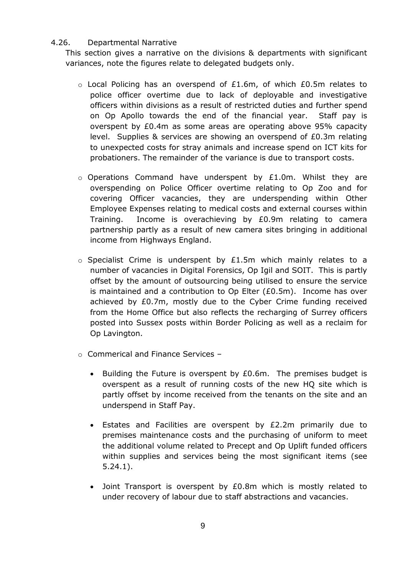#### 4.26. Departmental Narrative

This section gives a narrative on the divisions & departments with significant variances, note the figures relate to delegated budgets only.

- o Local Policing has an overspend of £1.6m, of which £0.5m relates to police officer overtime due to lack of deployable and investigative officers within divisions as a result of restricted duties and further spend on Op Apollo towards the end of the financial year. Staff pay is overspent by £0.4m as some areas are operating above 95% capacity level. Supplies & services are showing an overspend of £0.3m relating to unexpected costs for stray animals and increase spend on ICT kits for probationers. The remainder of the variance is due to transport costs.
- $\circ$  Operations Command have underspent by £1.0m. Whilst they are overspending on Police Officer overtime relating to Op Zoo and for covering Officer vacancies, they are underspending within Other Employee Expenses relating to medical costs and external courses within Training. Income is overachieving by £0.9m relating to camera partnership partly as a result of new camera sites bringing in additional income from Highways England.
- $\circ$  Specialist Crime is underspent by £1.5m which mainly relates to a number of vacancies in Digital Forensics, Op Igil and SOIT. This is partly offset by the amount of outsourcing being utilised to ensure the service is maintained and a contribution to Op Elter (£0.5m). Income has over achieved by £0.7m, mostly due to the Cyber Crime funding received from the Home Office but also reflects the recharging of Surrey officers posted into Sussex posts within Border Policing as well as a reclaim for Op Lavington.
- o Commerical and Finance Services
	- Building the Future is overspent by £0.6m. The premises budget is overspent as a result of running costs of the new HQ site which is partly offset by income received from the tenants on the site and an underspend in Staff Pay.
	- Estates and Facilities are overspent by £2.2m primarily due to premises maintenance costs and the purchasing of uniform to meet the additional volume related to Precept and Op Uplift funded officers within supplies and services being the most significant items (see 5.24.1).
	- Joint Transport is overspent by £0.8m which is mostly related to under recovery of labour due to staff abstractions and vacancies.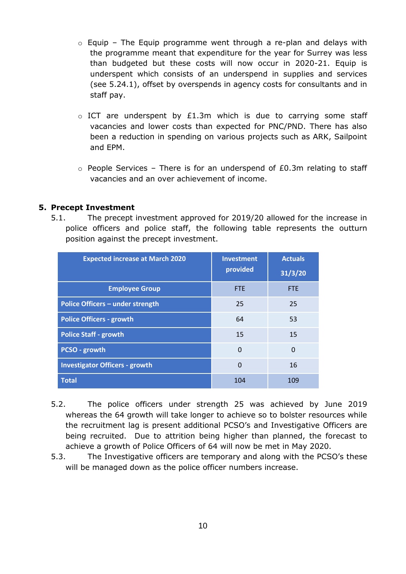- $\circ$  Equip The Equip programme went through a re-plan and delays with the programme meant that expenditure for the year for Surrey was less than budgeted but these costs will now occur in 2020-21. Equip is underspent which consists of an underspend in supplies and services (see 5.24.1), offset by overspends in agency costs for consultants and in staff pay.
- $\circ$  ICT are underspent by £1.3m which is due to carrying some staff vacancies and lower costs than expected for PNC/PND. There has also been a reduction in spending on various projects such as ARK, Sailpoint and EPM.
- $\circ$  People Services There is for an underspend of £0.3m relating to staff vacancies and an over achievement of income.

#### **5. Precept Investment**

5.1. The precept investment approved for 2019/20 allowed for the increase in police officers and police staff, the following table represents the outturn position against the precept investment.

| <b>Expected increase at March 2020</b> | <b>Investment</b><br>provided | <b>Actuals</b><br>31/3/20 |
|----------------------------------------|-------------------------------|---------------------------|
| <b>Employee Group</b>                  | <b>FTE</b>                    | <b>FTE</b>                |
| Police Officers - under strength       | 25                            | 25                        |
| <b>Police Officers - growth</b>        | 64                            | 53                        |
| <b>Police Staff - growth</b>           | 15                            | 15                        |
| PCSO - growth                          | $\Omega$                      | 0                         |
| <b>Investigator Officers - growth</b>  | $\Omega$                      | 16                        |
| <b>Total</b>                           | 104                           | 109                       |

- 5.2. The police officers under strength 25 was achieved by June 2019 whereas the 64 growth will take longer to achieve so to bolster resources while the recruitment lag is present additional PCSO's and Investigative Officers are being recruited. Due to attrition being higher than planned, the forecast to achieve a growth of Police Officers of 64 will now be met in May 2020.
- 5.3. The Investigative officers are temporary and along with the PCSO's these will be managed down as the police officer numbers increase.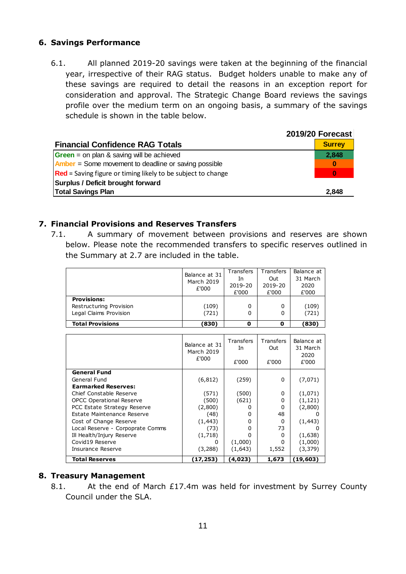## **6. Savings Performance**

6.1. All planned 2019-20 savings were taken at the beginning of the financial year, irrespective of their RAG status. Budget holders unable to make any of these savings are required to detail the reasons in an exception report for consideration and approval. The Strategic Change Board reviews the savings profile over the medium term on an ongoing basis, a summary of the savings schedule is shown in the table below.

|                                                                 | 2019/20 Forecast |
|-----------------------------------------------------------------|------------------|
| <b>Financial Confidence RAG Totals</b>                          | <b>Surrey</b>    |
| <b>Green</b> = on plan & saving will be achieved                | 2,848            |
| $Amber = Some movement to deadline or saving possible$          | $\bf{0}$         |
| $ Red =$ Saving figure or timing likely to be subject to change | 0                |
| Surplus / Deficit brought forward                               |                  |
| <b>Total Savings Plan</b>                                       | 2.848            |

## **7. Financial Provisions and Reserves Transfers**

7.1. A summary of movement between provisions and reserves are shown below. Please note the recommended transfers to specific reserves outlined in the Summary at 2.7 are included in the table.

|                                                                         | Balance at 31<br>March 2019<br>£'000 | Transfers<br>In<br>2019-20<br>£'000 | Transfers<br>Out<br>2019-20<br>£'000 | Balance at<br>31 March<br>2020<br>£'000 |
|-------------------------------------------------------------------------|--------------------------------------|-------------------------------------|--------------------------------------|-----------------------------------------|
| <b>Provisions:</b><br>Restructuring Provision<br>Legal Claims Provision | (109)<br>(721)                       | 0<br>0                              | 0<br>0                               | (109)<br>(721)                          |
| <b>Total Provisions</b>                                                 | (830)                                | 0                                   | 0                                    | (830)                                   |

|                                  | Balance at 31<br>March 2019<br>£'000 | Transfers<br>In<br>£'000 | Transfers<br>Out<br>£'000 | Balance at<br>31 March<br>2020<br>£'000 |
|----------------------------------|--------------------------------------|--------------------------|---------------------------|-----------------------------------------|
| <b>General Fund</b>              |                                      |                          |                           |                                         |
| General Fund                     | (6, 812)                             | (259)                    | 0                         | (7,071)                                 |
| <b>Earmarked Reserves:</b>       |                                      |                          |                           |                                         |
| Chief Constable Reserve          | (571)                                | (500)                    | 0                         | (1,071)                                 |
| <b>OPCC Operational Reserve</b>  | (500)                                | (621)                    | ი                         | (1, 121)                                |
| PCC Estate Strategy Reserve      | (2,800)                              |                          | ი                         | (2,800)                                 |
| Estate Maintenance Reserve       | (48)                                 | 0                        | 48                        | O                                       |
| Cost of Change Reserve           | (1, 443)                             | 0                        | <sup>0</sup>              | (1, 443)                                |
| Local Reserve - Corpoprate Comms | (73)                                 | 0                        | 73                        | O                                       |
| Ill Health/Injury Reserve        | (1,718)                              | O                        | O                         | (1,638)                                 |
| Covid19 Reserve                  | O                                    | (1,000)                  | n                         | (1,000)                                 |
| Insurance Reserve                | (3,288)                              | (1,643)                  | 1,552                     | (3, 379)                                |
| <b>Total Reserves</b>            | (17,253)                             | (4,023)                  | 1,673                     | (19, 603)                               |

## **8. Treasury Management**

8.1. At the end of March £17.4m was held for investment by Surrey County Council under the SLA.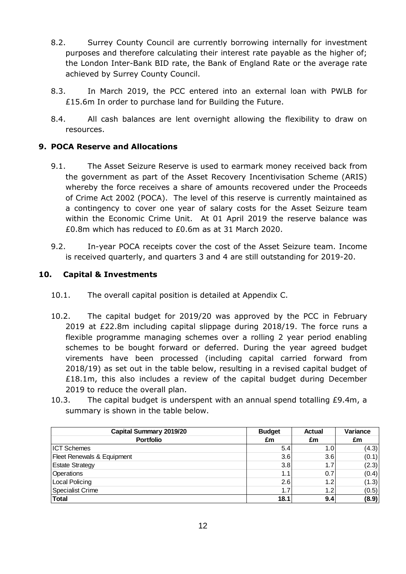- 8.2. Surrey County Council are currently borrowing internally for investment purposes and therefore calculating their interest rate payable as the higher of; the London Inter-Bank BID rate, the Bank of England Rate or the average rate achieved by Surrey County Council.
- 8.3. In March 2019, the PCC entered into an external loan with PWLB for £15.6m In order to purchase land for Building the Future.
- 8.4. All cash balances are lent overnight allowing the flexibility to draw on resources.

## **9. POCA Reserve and Allocations**

- 9.1. The Asset Seizure Reserve is used to earmark money received back from the government as part of the Asset Recovery Incentivisation Scheme (ARIS) whereby the force receives a share of amounts recovered under the Proceeds of Crime Act 2002 (POCA). The level of this reserve is currently maintained as a contingency to cover one year of salary costs for the Asset Seizure team within the Economic Crime Unit. At 01 April 2019 the reserve balance was £0.8m which has reduced to £0.6m as at 31 March 2020.
- 9.2. In-year POCA receipts cover the cost of the Asset Seizure team. Income is received quarterly, and quarters 3 and 4 are still outstanding for 2019-20.

## **10. Capital & Investments**

- 10.1. The overall capital position is detailed at Appendix C.
- 10.2. The capital budget for 2019/20 was approved by the PCC in February 2019 at £22.8m including capital slippage during 2018/19. The force runs a flexible programme managing schemes over a rolling 2 year period enabling schemes to be bought forward or deferred. During the year agreed budget virements have been processed (including capital carried forward from 2018/19) as set out in the table below, resulting in a revised capital budget of £18.1m, this also includes a review of the capital budget during December 2019 to reduce the overall plan.
- 10.3. The capital budget is underspent with an annual spend totalling £9.4m, a summary is shown in the table below.

| Capital Summary 2019/20    | <b>Budget</b> | <b>Actual</b>    | Variance |
|----------------------------|---------------|------------------|----------|
| <b>Portfolio</b>           | £m            | £m               | £m       |
| <b>ICT Schemes</b>         | 5.4           | 1.0I             | (4.3)    |
| Fleet Renewals & Equipment | 3.6           | 3.6              | (0.1)    |
| <b>Estate Strategy</b>     | 3.8           | 1.7              | (2.3)    |
| Operations                 | 1.1           | 0.7              | (0.4)    |
| Local Policing             | 2.6           | 1.2              | (1.3)    |
| Specialist Crime           | 1.7           | 1.2 <sub>l</sub> | (0.5)    |
| <b>Total</b>               | 18.1          | 9.4              | (8.9)    |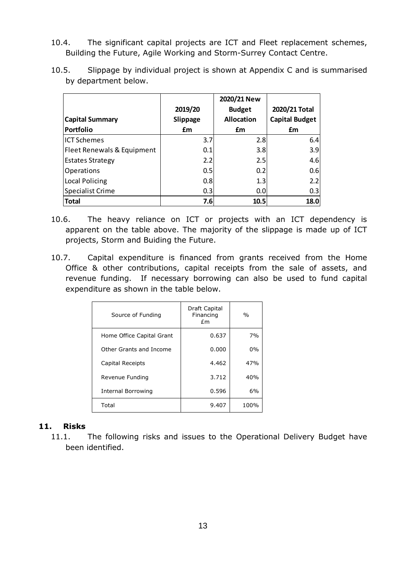10.4. The significant capital projects are ICT and Fleet replacement schemes, Building the Future, Agile Working and Storm-Surrey Contact Centre.

|                            |          | 2020/21 New       |                       |
|----------------------------|----------|-------------------|-----------------------|
|                            | 2019/20  | <b>Budget</b>     | 2020/21 Total         |
| <b>Capital Summary</b>     | Slippage | <b>Allocation</b> | <b>Capital Budget</b> |
| Portfolio                  | £m       | £m                | £m                    |
| <b>ICT Schemes</b>         | 3.7      | 2.8               | 6.4                   |
| Fleet Renewals & Equipment | 0.1      | 3.8               | 3.9                   |
| <b>Estates Strategy</b>    | 2.2      | 2.5               | 4.6                   |
| Operations                 | 0.5      | 0.2               | 0.6                   |
| Local Policing             | 0.8      | 1.3               | 2.2                   |
| Specialist Crime           | 0.3      | 0.0               | 0.3                   |
| <b>Total</b>               | 7.6      | 10.5              | 18.0                  |

10.5. Slippage by individual project is shown at Appendix C and is summarised by department below.

- 10.6. The heavy reliance on ICT or projects with an ICT dependency is apparent on the table above. The majority of the slippage is made up of ICT projects, Storm and Buiding the Future.
- 10.7. Capital expenditure is financed from grants received from the Home Office & other contributions, capital receipts from the sale of assets, and revenue funding. If necessary borrowing can also be used to fund capital expenditure as shown in the table below.

| Source of Funding         | Draft Capital<br>Financing<br>fm | $\%$  |
|---------------------------|----------------------------------|-------|
| Home Office Capital Grant | 0.637                            | 7%    |
| Other Grants and Income   | 0.000                            | $0\%$ |
| Capital Receipts          | 4.462                            | 47%   |
| Revenue Funding           | 3.712                            | 40%   |
| Internal Borrowing        | 0.596                            | 6%    |
| Total                     | 9.407                            | 100%  |

## **11. Risks**

11.1. The following risks and issues to the Operational Delivery Budget have been identified.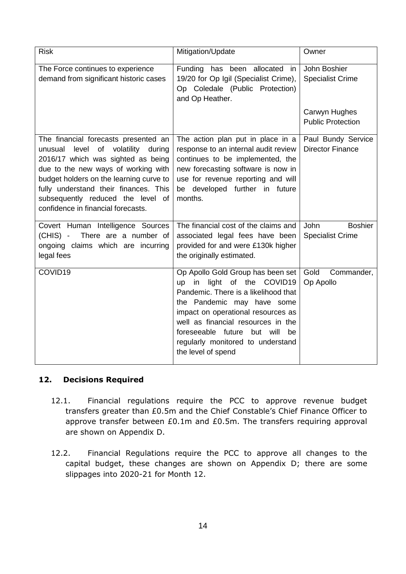| <b>Risk</b>                                                                                                                                                                                                                                                                                                                        | Mitigation/Update                                                                                                                                                                                                                                                                                                       | Owner                                                    |
|------------------------------------------------------------------------------------------------------------------------------------------------------------------------------------------------------------------------------------------------------------------------------------------------------------------------------------|-------------------------------------------------------------------------------------------------------------------------------------------------------------------------------------------------------------------------------------------------------------------------------------------------------------------------|----------------------------------------------------------|
| The Force continues to experience<br>demand from significant historic cases                                                                                                                                                                                                                                                        | Funding has been allocated in<br>19/20 for Op Igil (Specialist Crime),<br>Op Coledale (Public Protection)<br>and Op Heather.                                                                                                                                                                                            | John Boshier<br><b>Specialist Crime</b>                  |
|                                                                                                                                                                                                                                                                                                                                    |                                                                                                                                                                                                                                                                                                                         | Carwyn Hughes<br><b>Public Protection</b>                |
| The financial forecasts presented an<br>of<br>volatility<br>unusual<br>level<br>during<br>2016/17 which was sighted as being<br>due to the new ways of working with<br>budget holders on the learning curve to<br>fully understand their finances. This<br>subsequently reduced the level of<br>confidence in financial forecasts. | The action plan put in place in a<br>response to an internal audit review<br>continues to be implemented, the<br>new forecasting software is now in<br>use for revenue reporting and will<br>be developed further in future<br>months.                                                                                  | Paul Bundy Service<br><b>Director Finance</b>            |
| Covert Human Intelligence Sources<br>There are a number of<br>(CHIS) -<br>ongoing claims which are incurring<br>legal fees                                                                                                                                                                                                         | The financial cost of the claims and<br>associated legal fees have been<br>provided for and were £130k higher<br>the originally estimated.                                                                                                                                                                              | <b>John</b><br><b>Boshier</b><br><b>Specialist Crime</b> |
| COVID19                                                                                                                                                                                                                                                                                                                            | Op Apollo Gold Group has been set<br>light of the COVID19<br>in<br>up<br>Pandemic. There is a likelihood that<br>the Pandemic may have some<br>impact on operational resources as<br>well as financial resources in the<br>foreseeable future but will<br>be<br>regularly monitored to understand<br>the level of spend | Gold<br>Commander,<br>Op Apollo                          |

## **12. Decisions Required**

- 12.1. Financial regulations require the PCC to approve revenue budget transfers greater than £0.5m and the Chief Constable's Chief Finance Officer to approve transfer between £0.1m and £0.5m. The transfers requiring approval are shown on Appendix D.
- 12.2. Financial Regulations require the PCC to approve all changes to the capital budget, these changes are shown on Appendix D; there are some slippages into 2020-21 for Month 12.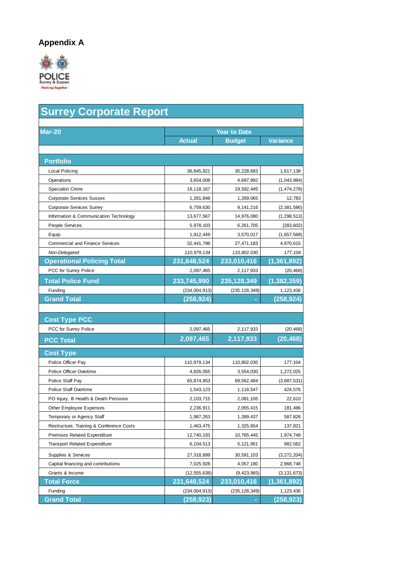## **Appendix A**



| <b>Surrey Corporate Report</b>                |                 |                     |                 |  |  |  |  |  |  |
|-----------------------------------------------|-----------------|---------------------|-----------------|--|--|--|--|--|--|
| <b>Mar-20</b>                                 |                 | <b>Year to Date</b> |                 |  |  |  |  |  |  |
|                                               | <b>Actual</b>   | <b>Budget</b>       | <b>Variance</b> |  |  |  |  |  |  |
| <b>Portfolio</b>                              |                 |                     |                 |  |  |  |  |  |  |
| Local Policing                                | 36,845,821      | 35,228,683          | 1,617,138       |  |  |  |  |  |  |
| Operations                                    | 3,654,008       | 4,697,992           | (1,043,984)     |  |  |  |  |  |  |
| <b>Specialist Crime</b>                       | 18,118,167      | 19,592,445          | (1,474,278)     |  |  |  |  |  |  |
| <b>Corporate Services Sussex</b>              | 1,281,848       | 1,269,065           | 12,783          |  |  |  |  |  |  |
| <b>Corporate Services Surrey</b>              | 6,759,630       | 9,141,216           | (2,381,586)     |  |  |  |  |  |  |
| Information & Communication Technology        | 13,677,567      | 14,976,080          | (1, 298, 513)   |  |  |  |  |  |  |
| People Services                               | 5,978,103       | 6,261,705           | (283, 602)      |  |  |  |  |  |  |
| Equip                                         | 1,912,449       | 3,570,017           | (1,657,568)     |  |  |  |  |  |  |
| <b>Commercial and Finance Services</b>        | 32,441,798      | 27,471,183          | 4,970,615       |  |  |  |  |  |  |
| Non-Delegated                                 | 110,979,134     | 110,802,030         | 177, 104        |  |  |  |  |  |  |
| <b>Operational Policing Total</b>             | 231,648,524     | 233,010,416         | (1, 361, 892)   |  |  |  |  |  |  |
| PCC for Surrey Police                         | 2,097,465       | 2,117,933           | (20, 468)       |  |  |  |  |  |  |
| <b>Total Police Fund</b>                      | 233,745,990     | 235,128,349         | (1, 382, 359)   |  |  |  |  |  |  |
| Funding                                       | (234, 004, 913) | (235, 128, 349)     | 1,123,436       |  |  |  |  |  |  |
| <b>Grand Total</b>                            | (258, 924)      |                     | (258, 924)      |  |  |  |  |  |  |
| <b>Cost Type PCC</b><br>PCC for Surrey Police | 2,097,465       | 2,117,933           | (20, 468)       |  |  |  |  |  |  |
| <b>PCC Total</b>                              | 2,097,465       | 2,117,933           | (20, 468)       |  |  |  |  |  |  |
| <b>Cost Type</b>                              |                 |                     |                 |  |  |  |  |  |  |
| Police Officer Pay                            | 110,979,134     | 110,802,030         | 177,104         |  |  |  |  |  |  |
| Police Officer Overtime                       | 4,826,055       | 3,554,030           | 1,272,025       |  |  |  |  |  |  |
| Police Staff Pay                              | 65,874,953      | 69,562,484          | (3,687,531)     |  |  |  |  |  |  |
| <b>Police Staff Overtime</b>                  | 1,543,123       | 1,118,547           | 424,576         |  |  |  |  |  |  |
| PO Injury, Ill Health & Death Pensions        | 2,103,715       | 2,081,105           | 22,610          |  |  |  |  |  |  |
| Other Employee Expenses                       | 2,236,911       | 2,055,415           | 181,496         |  |  |  |  |  |  |
| Temporary or Agency Staff                     | 1,987,263       | 1,399,437           | 587,826         |  |  |  |  |  |  |
| Restructure, Training & Conference Costs      | 1,463,475       | 1,325,654           | 137,821         |  |  |  |  |  |  |
| Premises Related Expenditure                  | 12,740,193      | 10,765,445          | 1,974,748       |  |  |  |  |  |  |
| <b>Transport Related Expenditure</b>          | 6,104,513       | 5,121,951           | 982,562         |  |  |  |  |  |  |
| Supplies & Services                           | 27,318,899      | 30,591,103          | (3,272,204)     |  |  |  |  |  |  |
| Capital financing and contributions           | 7,025,928       | 4,057,180           | 2,968,748       |  |  |  |  |  |  |
| Grants & Income                               | (12, 555, 638)  | (9, 423, 965)       | (3, 131, 673)   |  |  |  |  |  |  |
| <b>Total Force</b>                            | 231,648,524     | 233,010,416         | (1,361,892)     |  |  |  |  |  |  |
| Funding                                       | (234, 004, 913) | (235, 128, 349)     | 1,123,436       |  |  |  |  |  |  |
| <b>Grand Total</b>                            | (258, 923)      |                     | (258, 923)      |  |  |  |  |  |  |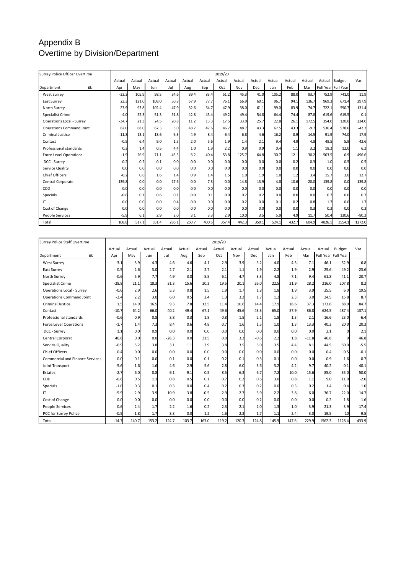## Appendix B Overtime by Division/Department

| Surrey Police Officer Overtime   |    | 2019/20 |        |        |        |        |        |        |        |         |        |         |         |        |                     |         |
|----------------------------------|----|---------|--------|--------|--------|--------|--------|--------|--------|---------|--------|---------|---------|--------|---------------------|---------|
|                                  |    | Actual  | Actual | Actual | Actual | Actual | Actual | Actual | Actual | Actual  | Actual | Actual  | Actual  | Actual | <b>Budget</b>       | Var     |
| Department                       | £k | Apr     | May    | Jun    | Jul    | Aug    | Sep    | Oct    | Nov    | Dec     | Jan    | Feb     | Mar     |        | Full Year Full Year |         |
| <b>West Surrey</b>               |    | $-33.3$ | 105.9  | 98.5   | 34.6   | 39.4   | 83.4   | 51.2   | 45.3   | 41.0    | 105.2  | 88.0    | 93.7    | 752.9  | 741.0               | 11.9    |
| East Surrey                      |    | 23.3    | 121.0  | 108.0  | 50.8   | 57.9   | 77.7   | 76.1   | 66.9   | 60.1    | 96.7   | 94.1    | 136.7   | 969.3  | 671.4               | 297.9   |
| North Surrey                     |    | $-23.9$ | 93.8   | 102.4  | 47.9   | 32.6   | 64.7   | 47.9   | 38.0   | 61.1    | 99.0   | 83.9    | 74.7    | 722.1  | 590.7               | 131.4   |
| Specialist Crime                 |    | $-4.0$  | 52.3   | 51.3   | 51.8   | 42.8   | 45.4   | 49.2   | 49.4   | 54.8    | 64.4   | 74.4    | 87.8    | 619.6  | 619.5               | 0.1     |
| <b>Operations Local - Surrey</b> |    | $-34.7$ | 21.3   | 24.5   | 20.8   | 11.2   | 13.3   | 17.5   | 33.0   | 25.7    | 22.8   | 26.1    | 172.5   | 354.0  | 120.0               | 234.0   |
| <b>Operations Command Joint</b>  |    | 62.0    | 68.0   | 67.3   | 3.0    | 48.7   | 47.6   | 46.7   | 48.7   | 43.3    | 67.5   | 43.3    | $-9.7$  | 536.4  | 578.6               | $-42.2$ |
| <b>Criminal Justice</b>          |    | $-11.8$ | 13.1   | 13.6   | 6.3    | 4.9    | 8.4    | 6.4    | 6.8    | 4.6     | 16.2   | 8.9     | 14.5    | 91.9   | 74.0                | 17.9    |
| Contact                          |    | $-0.5$  | 6.4    | 9.0    | 1.5    | 2.0    | 5.6    | 1.9    | 1.4    | 2.1     | 9.4    | 4.9     | 4.8     | 48.5   | 5.9                 | 42.6    |
| Professional standards           |    | 0.3     | 1.4    | 0.5    | 4.4    | 1.0    | 1.9    | 2.2    | 0.9    | 0.9     | 0.4    | 1.1     | 3.2     | 18.2   | 12.0                | 6.2     |
| <b>Force Level Operations</b>    |    | $-1.9$  | 26.9   | 71.1   | 43.5   | 6.2    | 40.4   | 53.8   | 125.7  | 64.8    | 30.7   | 12.1    | 30.2    | 503.5  | 6.9                 | 496.6   |
| DCC - Surrey                     |    | 0.2     | 0.2    | 0.1    | 0.0    | 0.0    | 0.0    | 0.0    | 0.0    | 0.0     | 0.0    | 0.2     | 0.3     | 1.0    | 0.5                 | 0.5     |
| Service Quality                  |    | 0.0     | 0.0    | 0.0    | 0.0    | 0.0    | 0.0    | 0.0    | 0.0    | 0.0     | 0.0    | 0.0     | 0.0     | 0.0    | 0.0                 | 0.0     |
| <b>Chief Officers</b>            |    | $-0.2$  | 0.6    | 1.6    | 1.4    | 0.9    | 1.4    | 1.5    | 1.0    | 1.9     | 1.0    | 1.2     | 3.4     | 15.7   | 3.0                 | 12.7    |
| Central Corporate                |    | 139.8   | 0.0    | 0.0    | 17.6   | 0.0    | 7.3    | 0.0    | 14.8   | $-13.9$ | 4.8    | $-10.6$ | $-20.0$ | 139.8  | 0.0                 | 139.8   |
| CDD                              |    | 0.0     | 0.0    | 0.0    | 0.0    | 0.0    | 0.0    | 0.0    | 0.0    | 0.0     | 0.0    | 0.0     | 0.0     | 0.0    | 0.0                 | 0.0     |
| Specials                         |    | $-0.6$  | 0.1    | 0.6    | 0.1    | 0.0    | 0.1    | 0.0    | 0.2    | 0.2     | 0.0    | 0.0     | 0.0     | 0.7    | 0.0                 | 0.7     |
| IΤ                               |    | 0.0     | 0.0    | 0.0    | 0.4    | 0.0    | 0.0    | 0.0    | 0.2    | 0.0     | 0.1    | 0.2     | 0.8     | 1.7    | 0.0                 | 1.7     |
| Cost of Change                   |    | 0.0     | 0.0    | 0.0    | 0.0    | 0.0    | 0.0    | 0.0    | 0.0    | 0.0     | 0.0    | 0.0     | 0.3     | 0.3    | 0.0                 | 0.3     |
| People Services                  |    | $-5.9$  | 6.1    | 2.9    | 2.0    | 3.1    | 3.3    | 2.9    | 10.0   | 3.5     | 5.9    | 4.9     | 11.7    | 50.4   | 130.6               | $-80.2$ |
| Total                            |    | 108.8   | 517.1  | 551.4  | 286.1  | 250.7  | 400.5  | 357.4  | 442.3  | 350.1   | 524.1  | 432.7   | 604.9   | 4826.1 | 3554.1              | 1272.0  |

| Surrey Police Staff Overtime           |    |         |        |        |         |        |        | 2019/20 |        |            |        |        |         |        |                     |         |
|----------------------------------------|----|---------|--------|--------|---------|--------|--------|---------|--------|------------|--------|--------|---------|--------|---------------------|---------|
|                                        |    | Actual  | Actual | Actual | Actual  | Actual | Actual | Actual  | Actual | Actual     | Actual | Actual | Actual  | Actual | Budget              | Var     |
| Department                             | £k | Apr     | Mav    | Jun    | Jul     | Aug    | Sep    | Oct     | Nov    | <b>Dec</b> | Jan    | Feb    | Mar     |        | Full Year Full Year |         |
| <b>West Surrey</b>                     |    | $-3.1$  | 3.9    | 4.3    | 4.6     | 4.6    | 4.1    | 2.9     | 3.9    | 5.2        | 4.0    | 4.5    | 7.1     | 46.1   | 52.9                | $-6.8$  |
| East Surrey                            |    | 0.5     | 2.6    | 3.0    | 2.7     | 2.1    | 2.7    | 2.1     | 1.1    | 1.9        | 2.2    | 1.9    | 2.9     | 25.6   | 49.2                | $-23.6$ |
| North Surrev                           |    | $-0.6$  | 5.9    | 7.7    | 4.9     | 3.0    | 5.5    | 6.1     | 4.7    | 3.3        | 4.8    | 7.1    | 9.4     | 61.8   | 41.1                | 20.7    |
| Specialist Crime                       |    | $-28.8$ | 21.1   | 18.3   | 31.3    | 15.6   | 20.3   | 19.5    | 20.1   | 26.0       | 22.5   | 21.9   | 28.2    | 216.0  | 207.8               | 8.2     |
| <b>Operations Local - Surrey</b>       |    | $-0.6$  | 2.9    | 2.6    | 5.3     | 0.8    | 1.5    | 1.9     | 1.7    | 1.8        | 1.8    | 1.9    | 3.9     | 25.5   | 6.0                 | 19.5    |
| <b>Operations Command Joint</b>        |    | $-2.4$  | 2.2    | 3.0    | 6.0     | 0.5    | 2.4    | 1.3     | 3.2    | 1.7        | 1.2    | 2.3    | 3.0     | 24.5   | 15.8                | 8.7     |
| <b>Criminal Justice</b>                |    | 1.5     | 14.9   | 16.5   | 9.3     | 7.8    | 13.5   | 11.4    | 10.6   | 14.4       | 17.9   | 18.6   | 37.3    | 173.6  | 88.9                | 84.7    |
| Contact                                |    | $-10.7$ | 64.2   | 66.0   | 40.2    | 49.4   | 67.1   | 49.6    | 45.6   | 43.3       | 65.0   | 57.9   | 86.8    | 624.5  | 487.4               | 137.1   |
| Professional standards                 |    | $-0.6$  | 0.9    | 0.8    | 3.8     | 0.3    | 1.8    | 0.8     | 1.5    | 2.1        | 1.8    | 1.3    | 2.1     | 16.6   | 23.0                | $-6.4$  |
| <b>Force Level Operations</b>          |    | $-1.7$  | 1.4    | 7.3    | 8.4     | 0.6    | 4.8    | 0.7     | 1.6    | 1.5        | 1.0    | 1.3    | 13.3    | 40.3   | 20.0                | 20.3    |
| DCC - Surrey                           |    | 1.1     | 0.0    | 0.9    | 0.0     | 0.0    | 0.0    | 0.0     | 0.0    | 0.0        | 0.0    | 0.0    | 0.0     | 2.1    |                     | 2.1     |
| Central Corporat                       |    | 46.8    | 0.0    | 0.0    | $-26.3$ | 0.0    | 31.5   | 0.0     | 3.2    | $-0.6$     | 2.2    | 1.8    | $-11.8$ | 46.8   |                     | 46.8    |
| Service Quality                        |    | $-0.9$  | 5.2    | 3.8    | 3.1     | 1.1    | 3.9    | 3.8     | 3.5    | 5.0        | 3.5    | 4.4    | 8.1     | 44.5   | 50.0                | $-5.5$  |
| <b>Chief Officers</b>                  |    | 0.4     | 0.0    | 0.0    | 0.0     | 0.0    | 0.0    | 0.0     | 0.0    | 0.0        | 0.0    | 0.0    | 0.0     | 0.4    | 0.5                 | $-0.1$  |
| <b>Commercial and Finance Services</b> |    | 0.0     | 0.1    | 0.0    | 0.1     | 0.0    | 0.1    | 0.2     | $-0.1$ | 0.3        | 0.1    | 0.0    | 0.0     | 0.9    | 1.6                 | $-0.7$  |
| Joint Transport                        |    | $-5.6$  | 1.6    | 1.6    | 4.6     | 2.9    | 5.6    | 2.8     | 6.0    | 3.6        | 3.2    | 4.2    | 9.7     | 40.2   | 0.1                 | 40.1    |
| <b>Estates</b>                         |    | $-2.7$  | 6.0    | 8.8    | 9.1     | 9.1    | 0.5    | 8.5     | 6.3    | 6.7        | 7.2    | 10.0   | 15.6    | 85.0   | 35.0                | 50.0    |
| CDD                                    |    | $-0.6$  | 0.5    | 1.1    | 0.8     | 0.5    | 0.1    | 0.7     | 0.2    | 0.6        | 3.0    | 0.8    | 1.1     | 9.0    | 11.0                | $-2.0$  |
| <b>Specials</b>                        |    | $-1.0$  | 0.3    | 0.1    | 0.3     | 0.0    | 0.4    | 0.2     | 0.3    | 0.2        | 0.0    | 0.3    | 0.2     | 1.4    | 0.4                 | 1.0     |
| IΤ                                     |    | $-5.9$  | 2.9    | 3.9    | 10.9    | 3.8    | $-0.5$ | 2.9     | 2.7    | 3.9        | 2.2    | 3.8    | 6.0     | 36.7   | 22.0                | 14.7    |
| Cost of Change                         |    | 0.0     | 0.0    | 0.0    | 0.0     | 0.0    | 0.0    | 0.0     | 0.0    | 0.2        | 0.0    | 0.0    | 0.0     | 0.2    | 1.8                 | $-1.6$  |
| <b>People Services</b>                 |    | 0.6     | 2.4    | 1.7    | 2.2     | 1.6    | 0.2    | 2.3     | 2.1    | 2.0        | 1.3    | 1.0    | 3.9     | 21.3   | 3.9                 | 17.4    |
| PCC for Surrey Police                  |    | $-0.5$  | 1.8    | 1.7    | 3.3     | 0.0    | 1.2    | 1.6     | 2.3    | 1.7        | 1.1    | 2.4    | 3.0     | 19.5   | 10                  | 9.5     |
| Total                                  |    | $-14.7$ | 140.7  | 153.2  | 124.7   | 103.7  | 167.0  | 119.2   | 120.3  | 124.8      | 145.9  | 147.6  | 229.9   | 1562.3 | 1128.4              | 433.9   |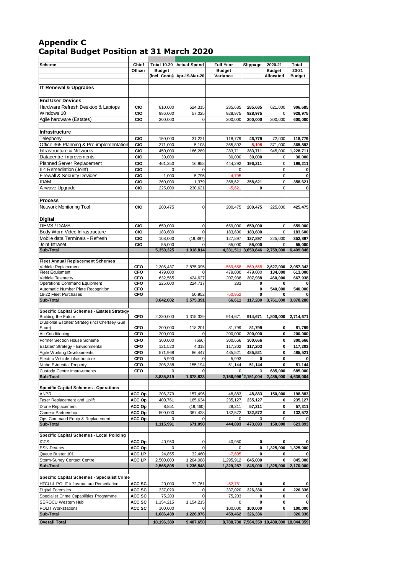### **Appendix C Capital Budget Position at 31 March 2020**

| <b>Scheme</b>                                                    | Chief                    |                                | Total 19-20 Actual Spend | <b>Full Year</b>          | Slippage                      | 2020-21                                   | Total                         |
|------------------------------------------------------------------|--------------------------|--------------------------------|--------------------------|---------------------------|-------------------------------|-------------------------------------------|-------------------------------|
|                                                                  | Officer                  | <b>Budget</b><br>(incl. Conts) | Apr-19-Mar-20            | <b>Budget</b><br>Variance |                               | <b>Budget</b><br>Allocated                | 20-21<br><b>Budget</b>        |
| <b>IT Renewal &amp; Upgrades</b>                                 |                          |                                |                          |                           |                               |                                           |                               |
|                                                                  |                          |                                |                          |                           |                               |                                           |                               |
| <b>End User Devices</b>                                          |                          |                                |                          |                           |                               |                                           |                               |
| Hardware Refresh Desktop & Laptops<br>Windows 10                 | CIO                      | 810,000                        | 524,315                  | 285,685                   | 285,685                       | 621,000                                   | 906,685                       |
| Agile hardware (Estates)                                         | CIO<br>CIO               | 986,000<br>300,000             | 57,025<br>$\Omega$       | 928,975<br>300,000        | 928,975<br>300,000            | $\Omega$<br>300,000                       | 928,975<br>600,000            |
| Infrastructure                                                   |                          |                                |                          |                           |                               |                                           |                               |
|                                                                  |                          |                                |                          |                           |                               |                                           |                               |
| Telephony<br>Office 365 Planning & Pre-implementation            | CIO<br>CIO               | 150,000<br>371,000             | 31,221<br>5,108          | 118,779<br>365,892        | 46,779<br>$-5,108$            | 72,000<br>371,000                         | 118,779<br>365,892            |
| Infrastructure & Networks                                        | CIO                      | 450,000                        | 166,289                  | 283,711                   | 283,711                       | 945,000                                   | 1,228,711                     |
| Datacentre Improvements                                          | CIO                      | 30,000                         |                          | 30,000                    | 30,000                        | $\mathbf 0$                               | 30,000                        |
| Planned Server Replacement                                       | CIO                      | 461,250                        | 16,958                   | 444,292                   | 196,211                       | $\mathbf 0$                               | 196,211                       |
| IL4 Remediation (Joint)                                          | CIO                      | $\Omega$                       | $\Omega$                 | 0                         |                               | $\mathbf 0$                               | $\mathbf 0$                   |
| <b>Firewall &amp; Security Devices</b>                           | CIO                      | 1,000                          | 5,795                    | $-4,795$                  |                               | $\mathbf 0$                               | $\mathbf 0$                   |
| <b>IDAM</b>                                                      | CIO                      | 360,000                        | 1,379                    | 358,621                   | 358,621                       | $\overline{0}$                            | 358,621                       |
| Airwave Upgrade                                                  | CIO                      | 225,000                        | 230,621                  | $-5,621$                  | 0                             | $\mathbf 0$                               | $\mathbf 0$                   |
| <b>Process</b>                                                   |                          |                                |                          |                           |                               |                                           |                               |
| Network Monitoring Tool                                          | CIO                      | 200,475                        | 0                        | 200,475                   | 200,475                       | 225,000                                   | 425,475                       |
|                                                                  |                          |                                |                          |                           |                               |                                           |                               |
| <b>Digital</b>                                                   |                          |                                |                          |                           |                               |                                           |                               |
| <b>DEMS / DAMS</b>                                               | CIO                      | 659,000                        | 0                        | 659,000                   | 659,000                       | $\mathbf 0$                               | 659,000                       |
| Body Worn Video Infrastructure                                   | CIO                      | 183,600                        | $\mathbf 0$              | 183,600                   | 183,600                       | $\mathbf 0$                               | 183,600                       |
| Mobile data Terminals - Refresh                                  | CIO                      | 108,000                        | (19, 897)                | 127,897                   | 127,897                       | 225,000                                   | 352,897                       |
| Joint Intranet                                                   | CIO                      | 55,000                         | 0<br>1,018,814           | 55,000                    | 55,000<br>4,331,511 3,650,846 | $\Omega$                                  | 55.000<br>2,759,000 6,409,846 |
| Sub-Total                                                        |                          | 5,350,325                      |                          |                           |                               |                                           |                               |
| <b>Fleet Annual Replacement Schemes</b>                          |                          |                                |                          |                           |                               |                                           |                               |
| Vehicle Replacement                                              | <b>CFO</b>               | 2,305,437                      | 2,875,095                | $-569,658$                | $-569,658$                    | 2,627,000                                 | 2,057,342                     |
| <b>Fleet Equipment</b><br>Vehicle Telemetry                      | <b>CFO</b><br><b>CFO</b> | 479,000<br>632,565             | 0<br>424,627             | 479,000<br>207,938        | 479,000<br>207,938            | 134,000<br>460,000                        | 613,000<br>667,938            |
| Operations Command Equipment                                     | CFO                      | 225,000                        | 224,717                  | 283                       | 0                             | $\mathbf 0$                               | 0                             |
| Automatic Number Plate Recognition                               | <b>CFO</b>               |                                |                          |                           | 0                             | 540,000                                   | 540,000                       |
| 18-22 Fleet Purchases                                            | <b>CFO</b>               |                                | 50,952                   | $-50,952$                 | 0                             | $\mathbf 0$                               | $\bf{0}$                      |
| Sub-Total                                                        |                          | 3,642,002                      | 3,575,391                | 66,611                    | 117,280                       | 3,761,000                                 | 3,878,280                     |
| Specific Capital Schemes - Estates Strategy                      |                          |                                |                          |                           |                               |                                           |                               |
| <b>Building the Future</b>                                       | <b>CFO</b>               | 2,230,000                      | 1,315,329                | 914,671                   | 914,671                       | 1,800,000                                 | 2,714,671                     |
| Divisional Estates' Strateg (Incl Chertsey Gun                   |                          |                                |                          |                           |                               |                                           |                               |
| Store)                                                           | <b>CFO</b>               | 200,000                        | 118,201                  | 81,799                    | 81,799                        | $\mathbf 0$                               | 81,799                        |
| Air Conditioning                                                 | <b>CFO</b><br><b>CFO</b> | 200,000<br>300,000             | $\mathbf 0$<br>(666)     | 200,000<br>300,666        | 200,000<br>300,666            | $\mathbf{0}$<br>0                         | 200,000<br>300,666            |
| Former Section House Scheme<br>Estates' Strategy - Environmental | <b>CFO</b>               | 121,520                        | 4,318                    | 117,202                   | 117,203                       | <sub>0</sub>                              | 117,203                       |
| <b>Agile Working Developments</b>                                | CFO                      | 571,968                        | 86,447                   | 485,521                   | 485,521                       | <sub>0</sub>                              | 485,521                       |
| Electric Vehicle Infrastructure                                  | CFO                      | 5,993                          | 0                        | 5,993                     | 0                             | $\mathbf{0}$                              | 0                             |
| Niche Evidential Property                                        | CFO                      | 206,338                        | 155,194                  | 51,144                    | 51,144                        | 0l                                        | 51,144                        |
| <b>Custody Centre Improvements</b>                               | CFO                      |                                | U                        | 0                         | 0                             | 685,000                                   | 685,000                       |
| Sub-Total                                                        |                          | 3,835,819                      | 1,678,823                |                           | 2,156,996 2,151,004           | 2,485,000                                 | 4,636,004                     |
|                                                                  |                          |                                |                          |                           |                               |                                           |                               |
| <b>Specific Capital Schemes - Operations</b><br><b>ANPR</b>      | ACC Op                   | 206,379                        | 157,496                  | 48,883                    | 48,883                        | 150,000                                   | 198,883                       |
| Taser Replacement and Uplift                                     | ACC Op                   | 400,761                        | 165,634                  | 235,127                   | 235,127                       | 0                                         | 235,127                       |
| Drone Replacement                                                | ACC Op                   | 8,851                          | (19, 460)                | 28,311                    | 57,311                        | $\mathbf{0}$                              | 57,311                        |
| Camera Partnership                                               | ACC Op                   | 500,000                        | 367,428                  | 132,572                   | 132,572                       | 0                                         | 132,572                       |
| Ops Command Equip & Replacement                                  | ACC Op                   |                                | $\Omega$                 | $\mathbf 0$               | 0                             | $\mathbf 0$                               | $\mathbf 0$                   |
| Sub-Total                                                        |                          | 1,115,991                      | 671,098                  | 444,893                   | 473,893                       | 150,000                                   | 623,893                       |
| Specific Capital Schemes - Local Policing                        |                          |                                |                          |                           |                               |                                           |                               |
| <b>ICCS</b>                                                      | ACC Op                   | 40,950                         | 0                        | 40,950                    | $\mathbf 0$                   | $\mathbf 0$                               | $\mathbf 0$                   |
| <b>ESN-Devices</b>                                               | ACC Op                   | 0                              | 0                        | 0                         | 0                             | 1,325,000                                 | 1,325,000                     |
| Queue Buster 101                                                 | ACC LP                   | 24,855                         | 32,460                   | $-7,605$                  | 0                             | 0                                         | $\mathbf 0$                   |
| Storm-Surrey Contact Centre<br>Sub-Total                         | ACC LP                   | 2,500,000<br>2,565,805         | 1,204,088<br>1,236,548   | 1,295,912<br>1,329,257    | 845,000<br>845,000            | $\mathbf 0$<br>1,325,000                  | 845,000<br>2,170,000          |
|                                                                  |                          |                                |                          |                           |                               |                                           |                               |
| Specific Capital Schemes - Specialist Crime                      |                          |                                |                          |                           |                               |                                           |                               |
| HTCU & POLIT Infrastructure Remediation                          | ACC SC                   | 20,000                         | 72,761                   | $-52,761$                 | 0                             | 0                                         | $\mathbf 0$                   |
| <b>Digital Forensics</b>                                         | ACC SC                   | 337,020                        | 0                        | 337,020                   | 226,336                       | 0                                         | 226,336                       |
| Specialist Crime Capabilities Programme                          | ACC SC                   | 75,203                         | $\mathbf 0$              | 75,203                    | 0                             | 0                                         | 0                             |
| SEROCU Western Hub                                               | ACC SC                   | 1,154,215                      | 1,154,215<br>$\Omega$    | $\mathbf 0$               | $\mathbf 0$                   | $\mathbf{0}$                              | $\mathbf 0$                   |
| <b>POLIT Workstations</b><br>Sub-Total                           | ACC SC                   | 100,000<br>1,686,438           | 1,226,976                | 100,000<br>459,462        | 100,000<br>326,336            | $\mathbf{0}$                              | 100,000<br>326,336            |
|                                                                  |                          |                                |                          |                           |                               |                                           |                               |
| <b>Overall Total</b>                                             |                          | 18,196,380                     | 9,407,650                |                           |                               | 8,788,730 7,564,359 10,480,000 18,044,359 |                               |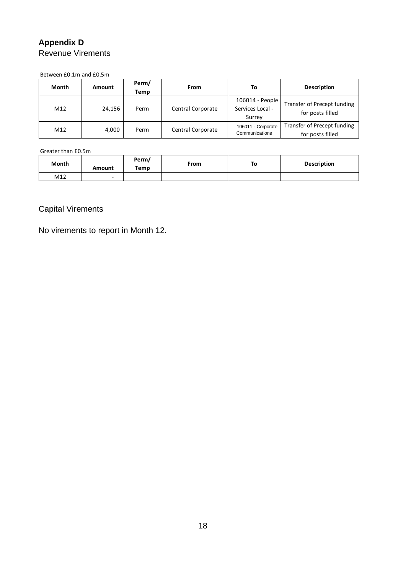## **Appendix D** Revenue Virements

Between £0.1m and £0.5m

| Month | <b>Amount</b> | Perm/<br>Temp | <b>From</b>       | То                                            | <b>Description</b>                              |  |  |
|-------|---------------|---------------|-------------------|-----------------------------------------------|-------------------------------------------------|--|--|
| M12   | 24.156        | Perm          | Central Corporate | 106014 - People<br>Services Local -<br>Surrey | Transfer of Precept funding<br>for posts filled |  |  |
| M12   | 4,000         | Perm          | Central Corporate | 106011 - Corporate<br>Communications          | Transfer of Precept funding<br>for posts filled |  |  |

Greater than £0.5m

| Month | Amount | Perm/<br>Temp | <b>From</b> | To | <b>Description</b> |  |
|-------|--------|---------------|-------------|----|--------------------|--|
| M12   | -      |               |             |    |                    |  |

# Capital Virements

No virements to report in Month 12.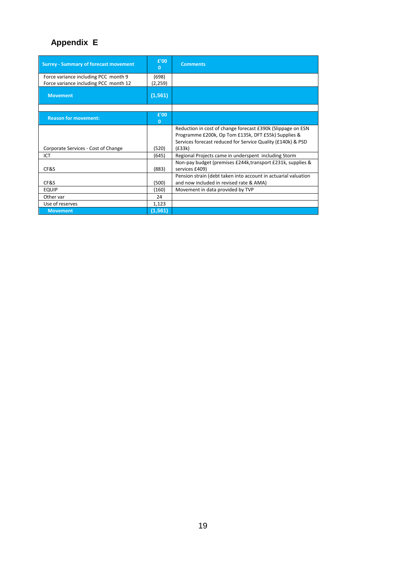# **Appendix E**

| <b>Surrey - Summary of forecast movement</b>                                  | £'00<br>$\bf{0}$     | <b>Comments</b>                                                                                                                                                                             |
|-------------------------------------------------------------------------------|----------------------|---------------------------------------------------------------------------------------------------------------------------------------------------------------------------------------------|
| Force variance including PCC month 9<br>Force variance including PCC month 12 | (698)<br>(2,259)     |                                                                                                                                                                                             |
| <b>Movement</b>                                                               | (1, 561)             |                                                                                                                                                                                             |
|                                                                               |                      |                                                                                                                                                                                             |
| <b>Reason for movement:</b>                                                   | £'00<br>$\mathbf{0}$ |                                                                                                                                                                                             |
| Corporate Services - Cost of Change                                           | (520)                | Reduction in cost of change forecast £390k (Slippage on ESN<br>Programme £200k, Op Tom £135k, DFT £55k) Supplies &<br>Services forecast reduced for Service Quality (£140k) & PSD<br>(E33k) |
| ICT                                                                           | (645)                | Regional Projects came in underspent including Storm                                                                                                                                        |
| CF&S                                                                          | (883)                | Non-pay budget (premises £244k, transport £231k, supplies &<br>services £409)                                                                                                               |
| CF&S                                                                          | (500)                | Pension strain (debt taken into account in actuarial valuation<br>and now included in revised rate & AMA)                                                                                   |
| <b>EQUIP</b>                                                                  | (160)                | Movement in data provided by TVP                                                                                                                                                            |
| Other var                                                                     | 24                   |                                                                                                                                                                                             |
| Use of reserves                                                               | 1,123                |                                                                                                                                                                                             |
| <b>Movement</b>                                                               | (1, 561)             |                                                                                                                                                                                             |